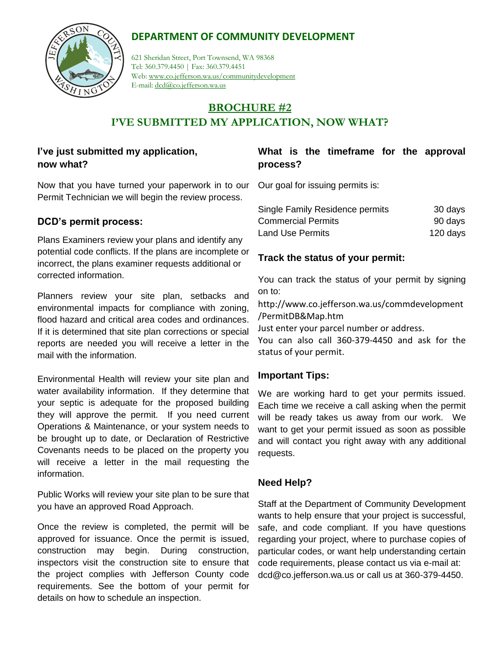# **DEPARTMENT OF COMMUNITY DEVELOPMENT**



621 Sheridan Street, Port Townsend, WA 98368 Tel: 360.379.4450 | Fax: 360.379.4451 Web: www.co.jefferson.wa.us/communitydevelopment E-mail: dcd@co.jefferson.wa.us

# **BROCHURE #2 I'VE SUBMITTED MY APPLICATION, NOW WHAT?**

# **I've just submitted my application, now what?**

Now that you have turned your paperwork in to our Our goal for issuing permits is: Permit Technician we will begin the review process.

#### **DCD's permit process:**

Plans Examiners review your plans and identify any potential code conflicts. If the plans are incomplete or incorrect, the plans examiner requests additional or corrected information.

Planners review your site plan, setbacks and environmental impacts for compliance with zoning, flood hazard and critical area codes and ordinances. If it is determined that site plan corrections or special reports are needed you will receive a letter in the mail with the information.

Environmental Health will review your site plan and water availability information. If they determine that your septic is adequate for the proposed building they will approve the permit. If you need current Operations & Maintenance, or your system needs to be brought up to date, or Declaration of Restrictive Covenants needs to be placed on the property you will receive a letter in the mail requesting the information.

Public Works will review your site plan to be sure that you have an approved Road Approach.

Once the review is completed, the permit will be approved for issuance. Once the permit is issued, construction may begin. During construction, inspectors visit the construction site to ensure that the project complies with Jefferson County code requirements. See the bottom of your permit for details on how to schedule an inspection.

# **What is the timeframe for the approval process?**

| Single Family Residence permits | 30 days  |
|---------------------------------|----------|
| <b>Commercial Permits</b>       | 90 days  |
| Land Use Permits                | 120 days |

## **Track the status of your permit:**

You can track the status of your permit by signing on to:

http://www.co.jefferson.wa.us/commdevelopment /PermitDB&Map.htm

Just enter your parcel number or address.

You can also call 360-379-4450 and ask for the status of your permit.

### **Important Tips:**

We are working hard to get your permits issued. Each time we receive a call asking when the permit will be ready takes us away from our work. We want to get your permit issued as soon as possible and will contact you right away with any additional requests.

### **Need Help?**

Staff at the Department of Community Development wants to help ensure that your project is successful, safe, and code compliant. If you have questions regarding your project, where to purchase copies of particular codes, or want help understanding certain code requirements, please contact us via e-mail at: dcd@co.jefferson.wa.us or call us at 360-379-4450.